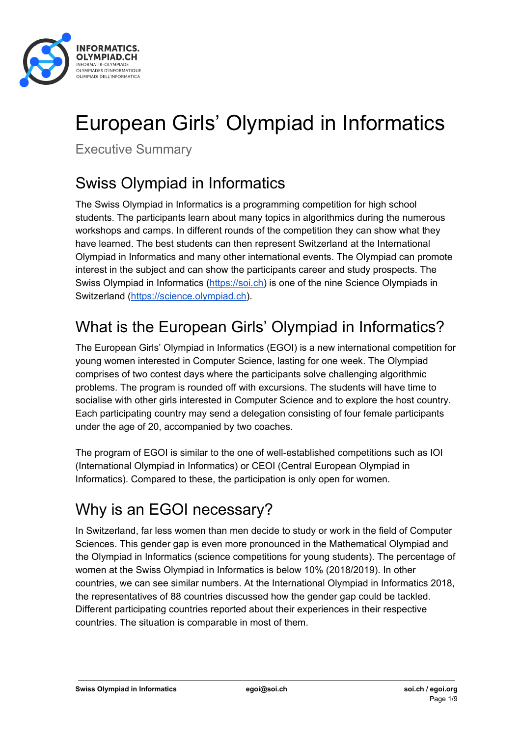

# European Girls' Olympiad in Informatics

Executive Summary

## Swiss Olympiad in Informatics

The Swiss Olympiad in Informatics is a programming competition for high school students. The participants learn about many topics in algorithmics during the numerous workshops and camps. In different rounds of the competition they can show what they have learned. The best students can then represent Switzerland at the International Olympiad in Informatics and many other international events. The Olympiad can promote interest in the subject and can show the participants career and study prospects. The Swiss Olympiad in Informatics [\(https://soi.ch\)](https://soi.ch/) is one of the nine Science Olympiads in Switzerland ([https://science.olympiad.ch\)](https://olympiad.ch/).

## What is the European Girls' Olympiad in Informatics?

The European Girls' Olympiad in Informatics (EGOI) is a new international competition for young women interested in Computer Science, lasting for one week. The Olympiad comprises of two contest days where the participants solve challenging algorithmic problems. The program is rounded off with excursions. The students will have time to socialise with other girls interested in Computer Science and to explore the host country. Each participating country may send a delegation consisting of four female participants under the age of 20, accompanied by two coaches.

The program of EGOI is similar to the one of well-established competitions such as IOI (International Olympiad in Informatics) or CEOI (Central European Olympiad in Informatics). Compared to these, the participation is only open for women.

## Why is an EGOI necessary?

In Switzerland, far less women than men decide to study or work in the field of Computer Sciences. This gender gap is even more pronounced in the Mathematical Olympiad and the Olympiad in Informatics (science competitions for young students). The percentage of women at the Swiss Olympiad in Informatics is below 10% (2018/2019). In other countries, we can see similar numbers. At the International Olympiad in Informatics 2018, the representatives of 88 countries discussed how the gender gap could be tackled. Different participating countries reported about their experiences in their respective countries. The situation is comparable in most of them.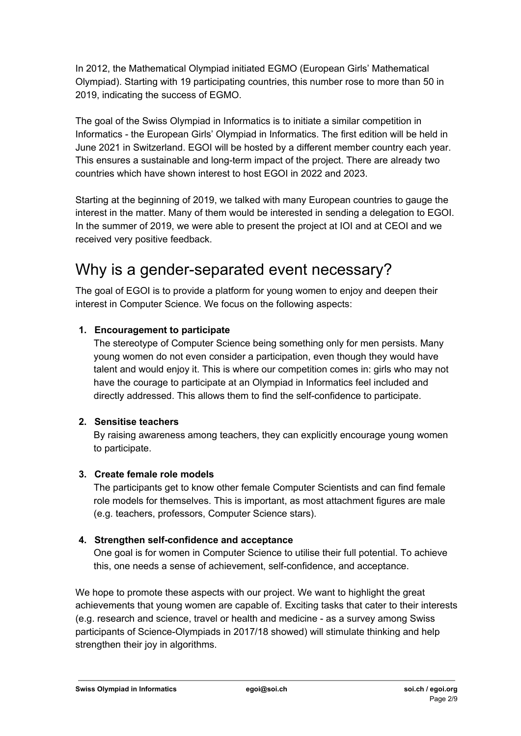In 2012, the Mathematical Olympiad initiated EGMO (European Girls' Mathematical Olympiad). Starting with 19 participating countries, this number rose to more than 50 in 2019, indicating the success of EGMO.

The goal of the Swiss Olympiad in Informatics is to initiate a similar competition in Informatics - the European Girls' Olympiad in Informatics. The first edition will be held in June 2021 in Switzerland. EGOI will be hosted by a different member country each year. This ensures a sustainable and long-term impact of the project. There are already two countries which have shown interest to host EGOI in 2022 and 2023.

Starting at the beginning of 2019, we talked with many European countries to gauge the interest in the matter. Many of them would be interested in sending a delegation to EGOI. In the summer of 2019, we were able to present the project at IOI and at CEOI and we received very positive feedback.

### Why is a gender-separated event necessary?

The goal of EGOI is to provide a platform for young women to enjoy and deepen their interest in Computer Science. We focus on the following aspects:

### **1. Encouragement to participate**

The stereotype of Computer Science being something only for men persists. Many young women do not even consider a participation, even though they would have talent and would enjoy it. This is where our competition comes in: girls who may not have the courage to participate at an Olympiad in Informatics feel included and directly addressed. This allows them to find the self-confidence to participate.

#### **2. Sensitise teachers**

By raising awareness among teachers, they can explicitly encourage young women to participate.

#### **3. Create female role models**

The participants get to know other female Computer Scientists and can find female role models for themselves. This is important, as most attachment figures are male (e.g. teachers, professors, Computer Science stars).

#### **4. Strengthen self-confidence and acceptance**

One goal is for women in Computer Science to utilise their full potential. To achieve this, one needs a sense of achievement, self-confidence, and acceptance.

We hope to promote these aspects with our project. We want to highlight the great achievements that young women are capable of. Exciting tasks that cater to their interests (e.g. research and science, travel or health and medicine - as a survey among Swiss participants of Science-Olympiads in 2017/18 showed) will stimulate thinking and help strengthen their joy in algorithms.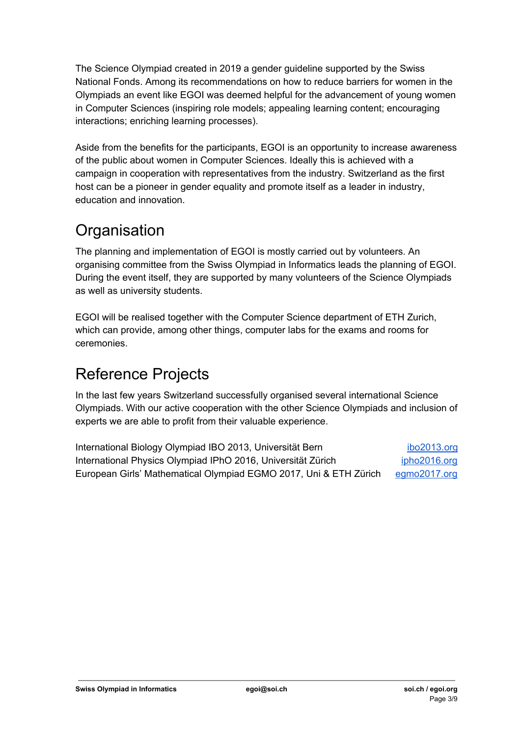The Science Olympiad created in 2019 a gender guideline supported by the Swiss National Fonds. Among its recommendations on how to reduce barriers for women in the Olympiads an event like EGOI was deemed helpful for the advancement of young women in Computer Sciences (inspiring role models; appealing learning content; encouraging interactions; enriching learning processes).

Aside from the benefits for the participants, EGOI is an opportunity to increase awareness of the public about women in Computer Sciences. Ideally this is achieved with a campaign in cooperation with representatives from the industry. Switzerland as the first host can be a pioneer in gender equality and promote itself as a leader in industry, education and innovation.

## **Organisation**

The planning and implementation of EGOI is mostly carried out by volunteers. An organising committee from the Swiss Olympiad in Informatics leads the planning of EGOI. During the event itself, they are supported by many volunteers of the Science Olympiads as well as university students.

EGOI will be realised together with the Computer Science department of ETH Zurich, which can provide, among other things, computer labs for the exams and rooms for ceremonies.

### Reference Projects

In the last few years Switzerland successfully organised several international Science Olympiads. With our active cooperation with the other Science Olympiads and inclusion of experts we are able to profit from their valuable experience.

| International Biology Olympiad IBO 2013, Universität Bern         | <u>ibo2013.org</u>  |
|-------------------------------------------------------------------|---------------------|
| International Physics Olympiad IPhO 2016, Universität Zürich      | <u>ipho2016.org</u> |
| European Girls' Mathematical Olympiad EGMO 2017, Uni & ETH Zürich | <u>egmo2017.org</u> |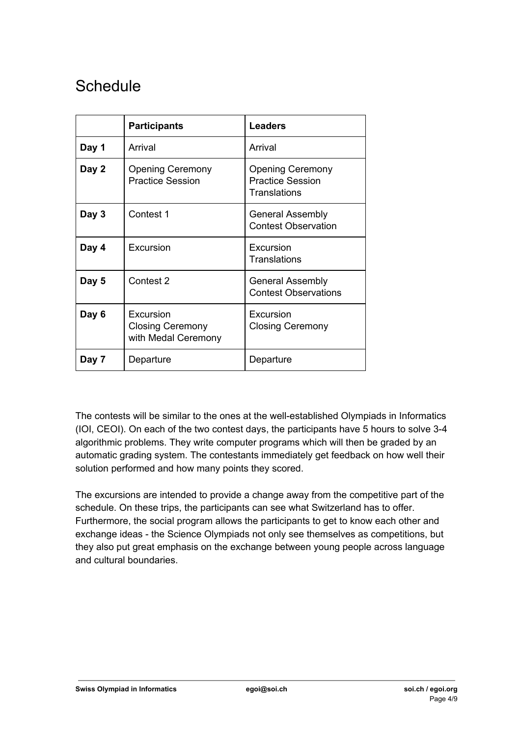### **Schedule**

|       | <b>Participants</b>                                         | <b>Leaders</b>                                                            |
|-------|-------------------------------------------------------------|---------------------------------------------------------------------------|
| Day 1 | Arrival                                                     | Arrival                                                                   |
| Day 2 | <b>Opening Ceremony</b><br><b>Practice Session</b>          | <b>Opening Ceremony</b><br><b>Practice Session</b><br><b>Translations</b> |
| Day 3 | Contest 1                                                   | <b>General Assembly</b><br><b>Contest Observation</b>                     |
| Day 4 | Excursion                                                   | Excursion<br><b>Translations</b>                                          |
| Day 5 | Contest 2                                                   | <b>General Assembly</b><br><b>Contest Observations</b>                    |
| Day 6 | Excursion<br><b>Closing Ceremony</b><br>with Medal Ceremony | Excursion<br><b>Closing Ceremony</b>                                      |
| Day 7 | Departure                                                   | Departure                                                                 |

The contests will be similar to the ones at the well-established Olympiads in Informatics (IOI, CEOI). On each of the two contest days, the participants have 5 hours to solve 3-4 algorithmic problems. They write computer programs which will then be graded by an automatic grading system. The contestants immediately get feedback on how well their solution performed and how many points they scored.

The excursions are intended to provide a change away from the competitive part of the schedule. On these trips, the participants can see what Switzerland has to offer. Furthermore, the social program allows the participants to get to know each other and exchange ideas - the Science Olympiads not only see themselves as competitions, but they also put great emphasis on the exchange between young people across language and cultural boundaries.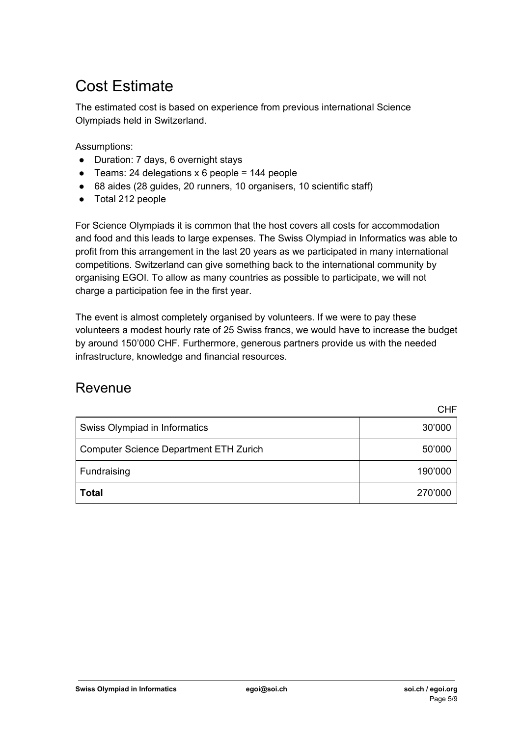## Cost Estimate

The estimated cost is based on experience from previous international Science Olympiads held in Switzerland.

Assumptions:

- Duration: 7 days, 6 overnight stays
- $\bullet$  Teams: 24 delegations x 6 people = 144 people
- 68 aides (28 guides, 20 runners, 10 organisers, 10 scientific staff)
- Total 212 people

For Science Olympiads it is common that the host covers all costs for accommodation and food and this leads to large expenses. The Swiss Olympiad in Informatics was able to profit from this arrangement in the last 20 years as we participated in many international competitions. Switzerland can give something back to the international community by organising EGOI. To allow as many countries as possible to participate, we will not charge a participation fee in the first year.

The event is almost completely organised by volunteers. If we were to pay these volunteers a modest hourly rate of 25 Swiss francs, we would have to increase the budget by around 150'000 CHF. Furthermore, generous partners provide us with the needed infrastructure, knowledge and financial resources.

### Revenue

CHF

| Swiss Olympiad in Informatics          | 30'000  |
|----------------------------------------|---------|
| Computer Science Department ETH Zurich | 50'000  |
| Fundraising                            | 190'000 |
| <b>Total</b>                           | 270'000 |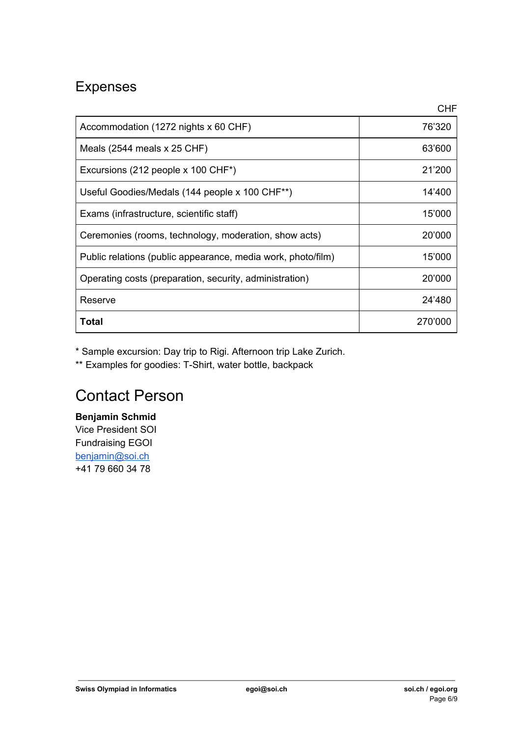### Expenses

|                                                              | <b>CHF</b> |
|--------------------------------------------------------------|------------|
| Accommodation (1272 nights x 60 CHF)                         | 76'320     |
| Meals $(2544 \text{ meals} \times 25 \text{ CHF})$           | 63'600     |
| Excursions (212 people x 100 CHF*)                           | 21'200     |
| Useful Goodies/Medals (144 people x 100 CHF**)               | 14'400     |
| Exams (infrastructure, scientific staff)                     | 15'000     |
| Ceremonies (rooms, technology, moderation, show acts)        | 20'000     |
| Public relations (public appearance, media work, photo/film) | 15'000     |
| Operating costs (preparation, security, administration)      | 20'000     |
| Reserve                                                      | 24'480     |
| Total                                                        | 270'000    |

\* Sample excursion: Day trip to Rigi. Afternoon trip Lake Zurich.

\*\* Examples for goodies: T-Shirt, water bottle, backpack

### Contact Person

**Benjamin Schmid** Vice President SOI Fundraising EGOI [benjamin@soi.ch](mailto:benjamin@soi.ch) +41 79 660 34 78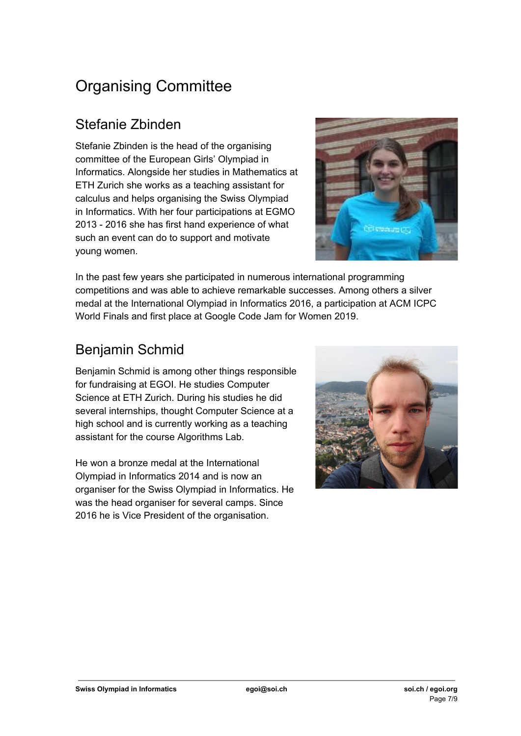## Organising Committee

### Stefanie Zbinden

Stefanie Zbinden is the head of the organising committee of the European Girls' Olympiad in Informatics. Alongside her studies in Mathematics at ETH Zurich she works as a teaching assistant for calculus and helps organising the Swiss Olympiad in Informatics. With her four participations at EGMO 2013 - 2016 she has first hand experience of what such an event can do to support and motivate young women.



In the past few years she participated in numerous international programming competitions and was able to achieve remarkable successes. Among others a silver medal at the International Olympiad in Informatics 2016, a participation at ACM ICPC World Finals and first place at Google Code Jam for Women 2019.

### Benjamin Schmid

Benjamin Schmid is among other things responsible for fundraising at EGOI. He studies Computer Science at ETH Zurich. During his studies he did several internships, thought Computer Science at a high school and is currently working as a teaching assistant for the course Algorithms Lab.

He won a bronze medal at the International Olympiad in Informatics 2014 and is now an organiser for the Swiss Olympiad in Informatics. He was the head organiser for several camps. Since 2016 he is Vice President of the organisation.

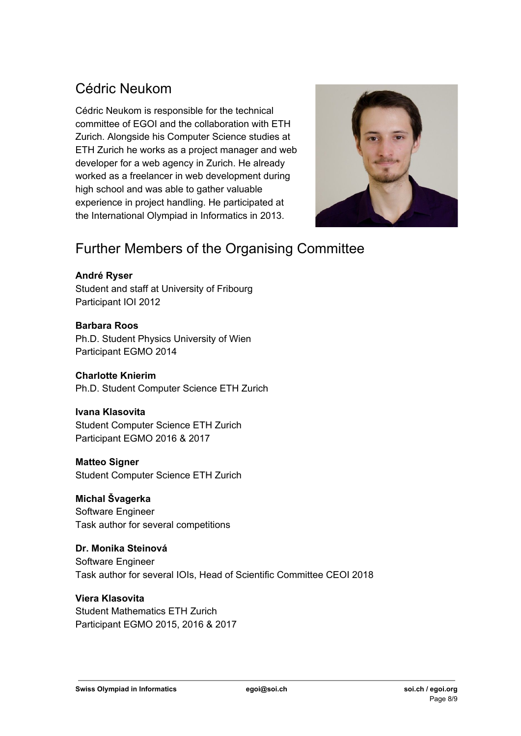### Cédric Neukom

Cédric Neukom is responsible for the technical committee of EGOI and the collaboration with ETH Zurich. Alongside his Computer Science studies at ETH Zurich he works as a project manager and web developer for a web agency in Zurich. He already worked as a freelancer in web development during high school and was able to gather valuable experience in project handling. He participated at the International Olympiad in Informatics in 2013.



### Further Members of the Organising Committee

#### **André Ryser**

Student and staff at University of Fribourg Participant IOI 2012

#### **Barbara Roos**

Ph.D. Student Physics University of Wien Participant EGMO 2014

#### **Charlotte Knierim**

Ph.D. Student Computer Science ETH Zurich

#### **Ivana Klasovita**

Student Computer Science ETH Zurich Participant EGMO 2016 & 2017

### **Matteo Signer**

Student Computer Science ETH Zurich

### **Michal Švagerka**

Software Engineer Task author for several competitions

### **Dr. Monika Steinová**

Software Engineer Task author for several IOIs, Head of Scientific Committee CEOI 2018

### **Viera Klasovita**

Student Mathematics ETH Zurich Participant EGMO 2015, 2016 & 2017